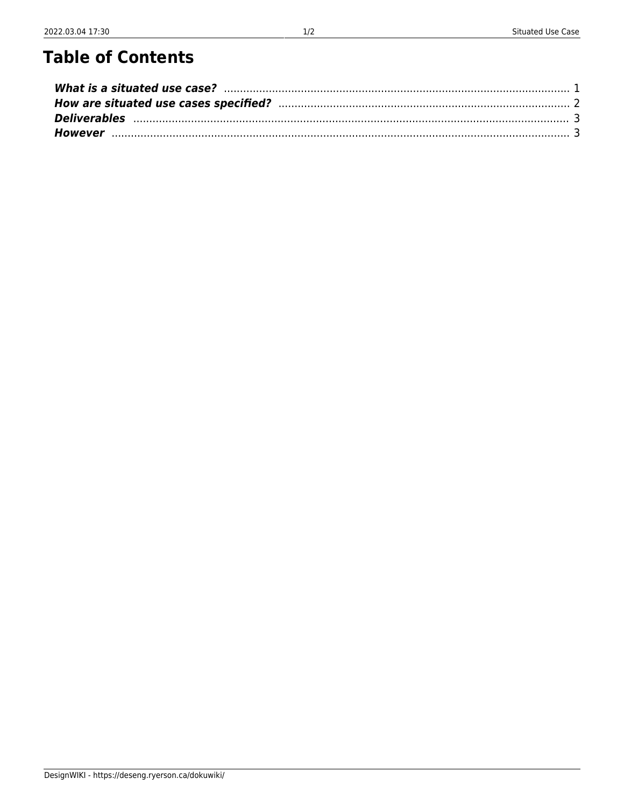## **Table of Contents**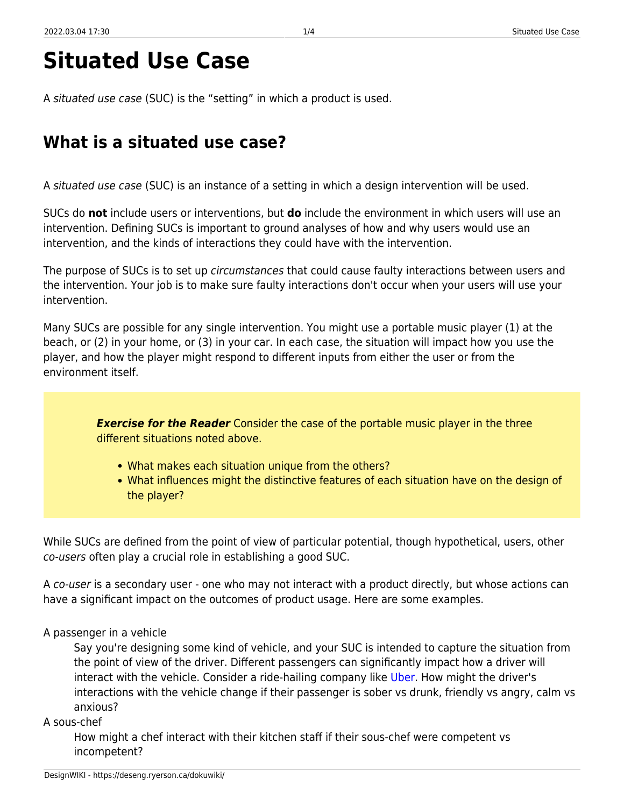# **Situated Use Case**

A situated use case (SUC) is the "setting" in which a product is used.

## <span id="page-2-0"></span>**What is a situated use case?**

A situated use case (SUC) is an instance of a setting in which a design intervention will be used.

SUCs do **not** include users or interventions, but **do** include the environment in which users will use an intervention. Defining SUCs is important to ground analyses of how and why users would use an intervention, and the kinds of interactions they could have with the intervention.

The purpose of SUCs is to set up *circumstances* that could cause faulty interactions between users and the intervention. Your job is to make sure faulty interactions don't occur when your users will use your intervention.

Many SUCs are possible for any single intervention. You might use a portable music player (1) at the beach, or (2) in your home, or (3) in your car. In each case, the situation will impact how you use the player, and how the player might respond to different inputs from either the user or from the environment itself.

> **Exercise for the Reader** Consider the case of the portable music player in the three different situations noted above.

- What makes each situation unique from the others?
- What influences might the distinctive features of each situation have on the design of the player?

While SUCs are defined from the point of view of particular potential, though hypothetical, users, other co-users often play a crucial role in establishing a good SUC.

A co-user is a secondary user - one who may not interact with a product directly, but whose actions can have a significant impact on the outcomes of product usage. Here are some examples.

### A passenger in a vehicle

Say you're designing some kind of vehicle, and your SUC is intended to capture the situation from the point of view of the driver. Different passengers can significantly impact how a driver will interact with the vehicle. Consider a ride-hailing company like [Uber](https://www.uber.com). How might the driver's interactions with the vehicle change if their passenger is sober vs drunk, friendly vs angry, calm vs anxious?

### A sous-chef

How might a chef interact with their kitchen staff if their sous-chef were competent vs incompetent?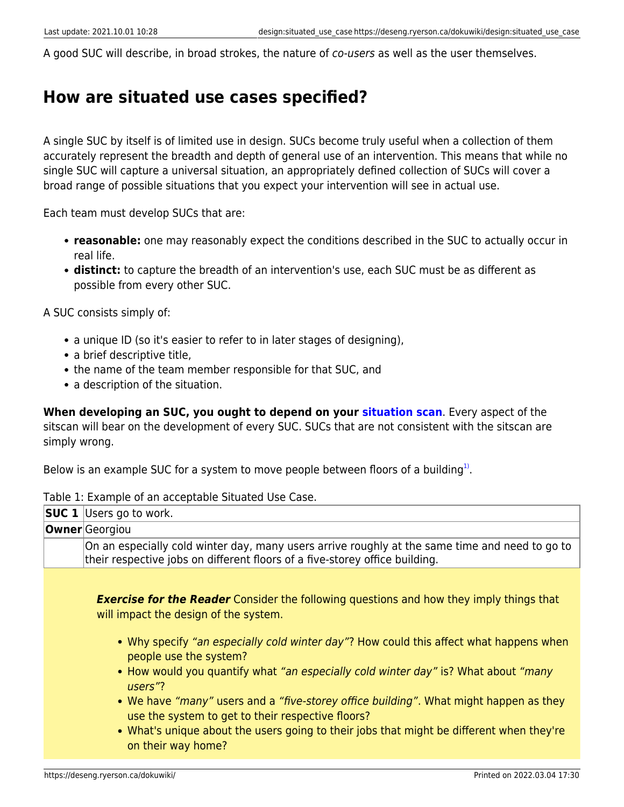A good SUC will describe, in broad strokes, the nature of *co-users* as well as the user themselves.

### <span id="page-3-0"></span>**How are situated use cases specified?**

A single SUC by itself is of limited use in design. SUCs become truly useful when a collection of them accurately represent the breadth and depth of general use of an intervention. This means that while no single SUC will capture a universal situation, an appropriately defined collection of SUCs will cover a broad range of possible situations that you expect your intervention will see in actual use.

Each team must develop SUCs that are:

- **reasonable:** one may reasonably expect the conditions described in the SUC to actually occur in real life.
- **distinct:** to capture the breadth of an intervention's use, each SUC must be as different as possible from every other SUC.

A SUC consists simply of:

- a unique ID (so it's easier to refer to in later stages of designing),
- a brief descriptive title,
- the name of the team member responsible for that SUC, and
- a description of the situation.

**When developing an SUC, you ought to depend on your [situation scan](https://deseng.ryerson.ca/dokuwiki/design:situation_scan)**. Every aspect of the sitscan will bear on the development of every SUC. SUCs that are not consistent with the sitscan are simply wrong.

Below is an example SUC for a system to move people between floors of a building $^{1)}$  $^{1)}$  $^{1)}$ .

| <b>SUC 1</b> Users go to work.                                                                                                                                                |
|-------------------------------------------------------------------------------------------------------------------------------------------------------------------------------|
| <b>Owner</b> Georgiou                                                                                                                                                         |
| On an especially cold winter day, many users arrive roughly at the same time and need to go to<br>their respective jobs on different floors of a five-storey office building. |
|                                                                                                                                                                               |
| <b>Exercise for the Reader</b> Consider the following questions and how they imply things that<br>will impact the design of the system.                                       |
| • Why specify "an especially cold winter day"? How could this affect what happens when<br>people use the system?                                                              |
| • How would you quantify what "an especially cold winter day" is? What about "many"<br>users"?                                                                                |
| • We have "many" users and a "five-storey office building". What might happen as they<br>use the system to get to their respective floors?                                    |
| • What's unique about the users going to their jobs that might be different when they're<br>on their way home?                                                                |

Table 1: Example of an acceptable Situated Use Case.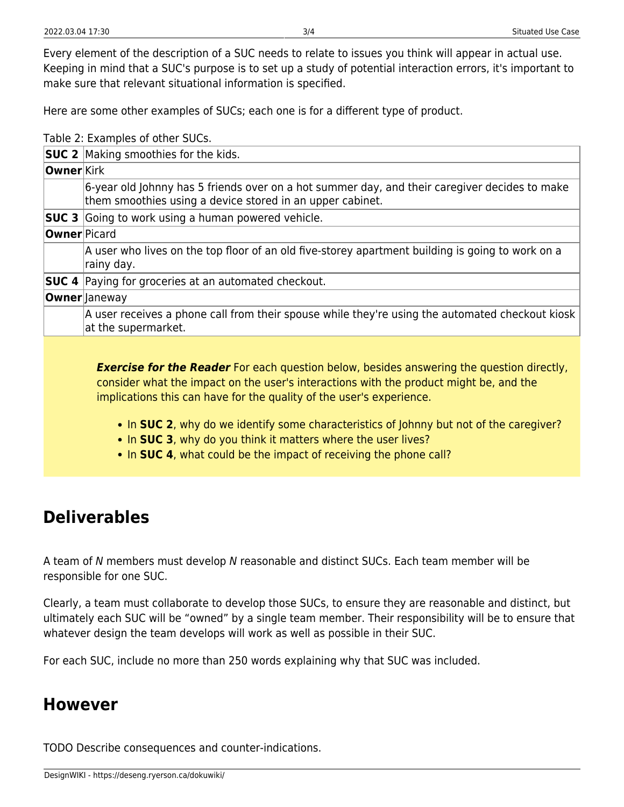Here are some other examples of SUCs; each one is for a different type of product.

Table 2: Examples of other SUCs.

|                     | <b>SUC 2</b> Making smoothies for the kids.                                                                                                                |
|---------------------|------------------------------------------------------------------------------------------------------------------------------------------------------------|
| <b>Owner Kirk</b>   |                                                                                                                                                            |
|                     | 6-year old Johnny has 5 friends over on a hot summer day, and their caregiver decides to make<br>them smoothies using a device stored in an upper cabinet. |
|                     | <b>SUC 3</b> Going to work using a human powered vehicle.                                                                                                  |
| <b>Owner</b> Picard |                                                                                                                                                            |
|                     | A user who lives on the top floor of an old five-storey apartment building is going to work on a<br>rainy day.                                             |
|                     | <b>SUC 4</b> Paying for groceries at an automated checkout.                                                                                                |
|                     | <b>Owner</b> Janeway                                                                                                                                       |
|                     | A user receives a phone call from their spouse while they're using the automated checkout kiosk<br>at the supermarket.                                     |
|                     |                                                                                                                                                            |

**Exercise for the Reader** For each question below, besides answering the question directly, consider what the impact on the user's interactions with the product might be, and the implications this can have for the quality of the user's experience.

- In **SUC 2**, why do we identify some characteristics of Johnny but not of the caregiver?
- In **SUC 3**, why do you think it matters where the user lives?
- In **SUC 4**, what could be the impact of receiving the phone call?

## <span id="page-4-0"></span>**Deliverables**

A team of N members must develop N reasonable and distinct SUCs. Each team member will be responsible for one SUC.

Clearly, a team must collaborate to develop those SUCs, to ensure they are reasonable and distinct, but ultimately each SUC will be "owned" by a single team member. Their responsibility will be to ensure that whatever design the team develops will work as well as possible in their SUC.

For each SUC, include no more than 250 words explaining why that SUC was included.

### <span id="page-4-1"></span>**However**

TODO Describe consequences and counter-indications.